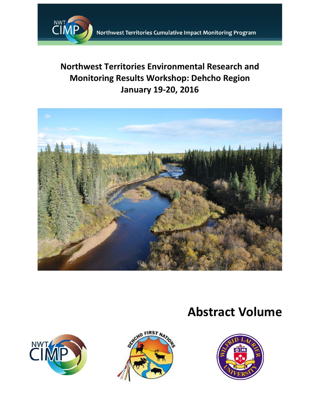

## **Northwest Territories Environmental Research and Monitoring Results Workshop: Dehcho Region January 19-20, 2016**



# **Abstract Volume**





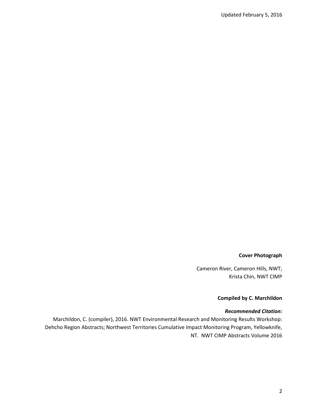#### **Cover Photograph**

Cameron River, Cameron Hills, NWT; Krista Chin, NWT CIMP

#### **Compiled by C. Marchildon**

#### *Recommended Citation:*

Marchildon, C. (compiler), 2016. NWT Environmental Research and Monitoring Results Workshop: Dehcho Region Abstracts; Northwest Territories Cumulative Impact Monitoring Program, Yellowknife, NT. NWT CIMP Abstracts Volume 2016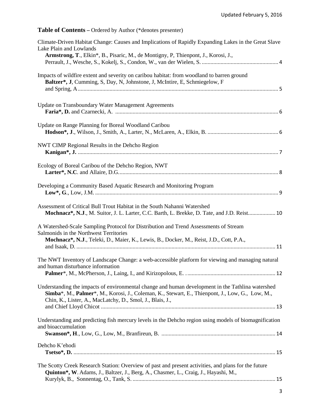### **Table of Contents –** Ordered by Author (\*denotes presenter)

| Climate-Driven Habitat Change: Causes and Implications of Rapidly Expanding Lakes in the Great Slave<br>Lake Plain and Lowlands<br>Armstrong, T., Elkin*, B., Pisaric, M., de Montigny, P, Thienpont, J., Korosi, J.,                                             |
|-------------------------------------------------------------------------------------------------------------------------------------------------------------------------------------------------------------------------------------------------------------------|
| Impacts of wildfire extent and severity on caribou habitat: from woodland to barren ground<br>Baltzer*, J, Cumming, S, Day, N, Johnstone, J, McIntire, E, Schmiegelow, F                                                                                          |
| Update on Transboundary Water Management Agreements                                                                                                                                                                                                               |
| Update on Range Planning for Boreal Woodland Caribou                                                                                                                                                                                                              |
| NWT CIMP Regional Results in the Dehcho Region                                                                                                                                                                                                                    |
| Ecology of Boreal Caribou of the Dehcho Region, NWT                                                                                                                                                                                                               |
| Developing a Community Based Aquatic Research and Monitoring Program                                                                                                                                                                                              |
| Assessment of Critical Bull Trout Habitat in the South Nahanni Watershed<br>Mochnacz*, N.J., M. Suitor, J. L. Larter, C.C. Barth, L. Brekke, D. Tate, and J.D. Reist 10                                                                                           |
| A Watershed-Scale Sampling Protocol for Distribution and Trend Assessments of Stream<br>Salmonids in the Northwest Territories<br>Mochnacz*, N.J., Teleki, D., Maier, K., Lewis, B., Docker, M., Reist, J.D., Cott, P.A.,                                         |
| The NWT Inventory of Landscape Change: a web-accessible platform for viewing and managing natural<br>and human disturbance information                                                                                                                            |
| Understanding the impacts of environmental change and human development in the Tathlina watershed<br>Simba*, M., Palmer*, M., Korosi, J., Coleman, K., Stewart, E., Thienpont, J., Low, G., Low, M.,<br>Chin, K., Lister, A., MacLatchy, D., Smol, J., Blais, J., |
| Understanding and predicting fish mercury levels in the Dehcho region using models of biomagnification<br>and bioaccumulation                                                                                                                                     |
| Dehcho K'ehodi                                                                                                                                                                                                                                                    |
| The Scotty Creek Research Station: Overview of past and present activities, and plans for the future<br>Quinton*, W. Adams, J., Baltzer, J., Berg, A., Chasmer, L., Craig, J., Hayashi, M.,                                                                       |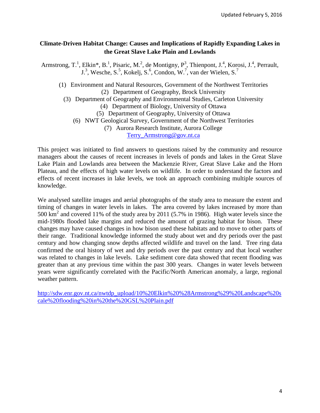#### **Climate-Driven Habitat Change: Causes and Implications of Rapidly Expanding Lakes in the Great Slave Lake Plain and Lowlands**

Armstrong, T.<sup>1</sup>, Elkin\*, B.<sup>1</sup>, Pisaric, M.<sup>2</sup>, de Montigny, P<sup>3</sup>, Thienpont, J.<sup>4</sup>, Korosi, J.<sup>4</sup>, Perrault, J.<sup>3</sup>, Wesche, S.<sup>5</sup>, Kokelj, S.<sup>6</sup>, Condon, W.<sup>7</sup>, van der Wielen, S.<sup>7</sup>

- (1) Environment and Natural Resources, Government of the Northwest Territories (2) Department of Geography, Brock University
	- (3) Department of Geography and Environmental Studies, Carleton University
		- (4) Department of Biology, University of Ottawa
		- (5) Department of Geography, University of Ottawa
		- (6) NWT Geological Survey, Government of the Northwest Territories
			- (7) Aurora Research Institute, Aurora College

[Terry\\_Armstrong@gov.nt.ca](mailto:Terry_Armstrong@gov.nt.ca)

This project was initiated to find answers to questions raised by the community and resource managers about the causes of recent increases in levels of ponds and lakes in the Great Slave Lake Plain and Lowlands area between the Mackenzie River, Great Slave Lake and the Horn Plateau, and the effects of high water levels on wildlife. In order to understand the factors and effects of recent increases in lake levels, we took an approach combining multiple sources of knowledge.

We analysed satellite images and aerial photographs of the study area to measure the extent and timing of changes in water levels in lakes. The area covered by lakes increased by more than 500 km<sup>2</sup> and covered 11% of the study area by 2011 (5.7% in 1986). High water levels since the mid-1980s flooded lake margins and reduced the amount of grazing habitat for bison. These changes may have caused changes in how bison used these habitats and to move to other parts of their range. Traditional knowledge informed the study about wet and dry periods over the past century and how changing snow depths affected wildlife and travel on the land. Tree ring data confirmed the oral history of wet and dry periods over the past century and that local weather was related to changes in lake levels. Lake sediment core data showed that recent flooding was greater than at any previous time within the past 300 years. Changes in water levels between years were significantly correlated with the Pacific/North American anomaly, a large, regional weather pattern.

[http://sdw.enr.gov.nt.ca/nwtdp\\_upload/10%20Elkin%20%28Armstrong%29%20Landscape%20s](http://sdw.enr.gov.nt.ca/nwtdp_upload/10%20Elkin%20%28Armstrong%29%20Landscape%20scale%20flooding%20in%20the%20GSL%20Plain.pdf) [cale%20flooding%20in%20the%20GSL%20Plain.pdf](http://sdw.enr.gov.nt.ca/nwtdp_upload/10%20Elkin%20%28Armstrong%29%20Landscape%20scale%20flooding%20in%20the%20GSL%20Plain.pdf)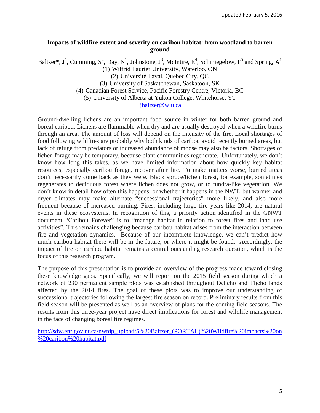#### **Impacts of wildfire extent and severity on caribou habitat: from woodland to barren ground**

Baltzer\*, J<sup>1</sup>, Cumming, S<sup>2</sup>, Day, N<sup>1</sup>, Johnstone, J<sup>3</sup>, McIntire, E<sup>4</sup>, Schmiegelow, F<sup>5</sup> and Spring, A<sup>1</sup> (1) Wilfrid Laurier University, Waterloo, ON (2) Université Laval, Quebec City, QC (3) University of Saskatchewan, Saskatoon, SK (4) Canadian Forest Service, Pacific Forestry Centre, Victoria, BC

(5) University of Alberta at Yukon College, Whitehorse, YT

#### [jbaltzer@wlu.ca](mailto:jbaltzer@wlu.ca)

Ground-dwelling lichens are an important food source in winter for both barren ground and boreal caribou. Lichens are flammable when dry and are usually destroyed when a wildfire burns through an area. The amount of loss will depend on the intensity of the fire. Local shortages of food following wildfires are probably why both kinds of caribou avoid recently burned areas, but lack of refuge from predators or increased abundance of moose may also be factors. Shortages of lichen forage may be temporary, because plant communities regenerate. Unfortunately, we don't know how long this takes, as we have limited information about how quickly key habitat resources, especially caribou forage, recover after fire. To make matters worse, burned areas don't necessarily come back as they were. Black spruce/lichen forest, for example, sometimes regenerates to deciduous forest where lichen does not grow, or to tundra-like vegetation. We don't know in detail how often this happens, or whether it happens in the NWT, but warmer and dryer climates may make alternate "successional trajectories" more likely, and also more frequent because of increased burning. Fires, including large fire years like 2014, are natural events in these ecosystems. In recognition of this, a priority action identified in the GNWT document "Caribou Forever" is to "manage habitat in relation to forest fires and land use activities". This remains challenging because caribou habitat arises from the interaction between fire and vegetation dynamics. Because of our incomplete knowledge, we can't predict how much caribou habitat there will be in the future, or where it might be found. Accordingly, the impact of fire on caribou habitat remains a central outstanding research question, which is the focus of this research program.

The purpose of this presentation is to provide an overview of the progress made toward closing these knowledge gaps. Specifically, we will report on the 2015 field season during which a network of 230 permanent sample plots was established throughout Dehcho and Tłįcho lands affected by the 2014 fires. The goal of these plots was to improve our understanding of successional trajectories following the largest fire season on record. Preliminary results from this field season will be presented as well as an overview of plans for the coming field seasons. The results from this three-year project have direct implications for forest and wildlife management in the face of changing boreal fire regimes.

[http://sdw.enr.gov.nt.ca/nwtdp\\_upload/5%20Baltzer\\_\(PORTAL\)%20Wildfire%20impacts%20on](http://sdw.enr.gov.nt.ca/nwtdp_upload/5%20Baltzer_(PORTAL)%20Wildfire%20impacts%20on%20caribou%20habitat.pdf) [%20caribou%20habitat.pdf](http://sdw.enr.gov.nt.ca/nwtdp_upload/5%20Baltzer_(PORTAL)%20Wildfire%20impacts%20on%20caribou%20habitat.pdf)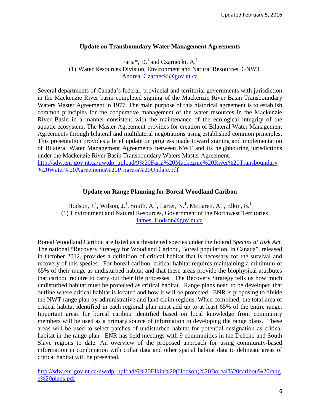#### **Update on Transboundary Water Management Agreements**

Faria\*,  $D<sup>1</sup>$  and Czarnecki,  $A<sup>1</sup>$ (1) Water Resources Division, Environment and Natural Resources, GNWT [Andrea\\_Czarnecki@gov.nt.ca](mailto:Andrea_Czarnecki@gov.nt.ca)

Several departments of Canada's federal, provincial and territorial governments with jurisdiction in the Mackenzie River basin completed signing of the Mackenzie River Basin Transboundary Waters Master Agreement in 1977. The main purpose of this historical agreement is to establish common principles for the cooperative management of the water resources in the Mackenzie River Basin in a manner consistent with the maintenance of the ecological integrity of the aquatic ecosystem. The Master Agreement provides for creation of Bilateral Water Management Agreements through bilateral and multilateral negotiations using established common principles. This presentation provides a brief update on progress made toward signing and implementation of Bilateral Water Management Agreements between NWT and its neighbouring jurisdictions under the Mackenzie River Basin Transboundary Waters Master Agreement. [http://sdw.enr.gov.nt.ca/nwtdp\\_upload/9%20Faria%20Mackeznie%20River%20Transboundary](http://sdw.enr.gov.nt.ca/nwtdp_upload/9%20Faria%20Mackeznie%20River%20Transboundary%20Water%20Agreements%20Progress%20Update.pdf)

[%20Water%20Agreements%20Progress%20Update.pdf](http://sdw.enr.gov.nt.ca/nwtdp_upload/9%20Faria%20Mackeznie%20River%20Transboundary%20Water%20Agreements%20Progress%20Update.pdf)

#### **Update on Range Planning for Boreal Woodland Caribou**

Hodson, J.<sup>1</sup>, Wilson, J.<sup>1</sup>, Smith, A.<sup>1</sup>, Larter, N.<sup>1</sup>, McLaren, A.<sup>1</sup>, Elkin, B.<sup>1</sup> (1) Environment and Natural Resources, Government of the Northwest Territories James Hodson@gov.nt.ca

Boreal Woodland Caribou are listed as a threatened species under the federal *Species at Risk Act.*  The national "Recovery Strategy for Woodland Caribou, Boreal population, in Canada", released in October 2012, provides a definition of critical habitat that is necessary for the survival and recovery of this species. For boreal caribou, critical habitat requires maintaining a minimum of 65% of their range as undisturbed habitat and that these areas provide the biophysical attributes that caribou require to carry out their life processes. The Recovery Strategy tells us how much undisturbed habitat must be protected as critical habitat. Range plans need to be developed that outline where critical habitat is located and how it will be protected. ENR is proposing to divide the NWT range plan by administrative and land claim regions. When combined, the total area of critical habitat identified in each regional plan must add up to at least 65% of the entire range. Important areas for boreal caribou identified based on local knowledge from community members will be used as a primary source of information in developing the range plans. These areas will be used to select patches of undisturbed habitat for potential designation as critical habitat in the range plan. ENR has held meetings with 9 communities in the Dehcho and South Slave regions to date. An overview of the proposed approach for using community-based information in combination with collar data and other spatial habitat data to delineate areas of critical habitat will be presented.

[http://sdw.enr.gov.nt.ca/nwtdp\\_upload/6%20Elkin%20\(Hodson\)%20Boreal%20caribou%20rang](http://sdw.enr.gov.nt.ca/nwtdp_upload/6%20Elkin%20(Hodson)%20Boreal%20caribou%20range%20plans.pdf) [e%20plans.pdf](http://sdw.enr.gov.nt.ca/nwtdp_upload/6%20Elkin%20(Hodson)%20Boreal%20caribou%20range%20plans.pdf)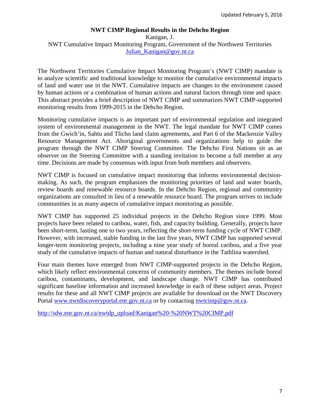#### **NWT CIMP Regional Results in the Dehcho Region** Kanigan, J. NWT Cumulative Impact Monitoring Program, Government of the Northwest Territories Julian Kanigan@gov.nt.ca

The Northwest Territories Cumulative Impact Monitoring Program's (NWT CIMP) mandate is to analyze scientific and traditional knowledge to monitor the cumulative environmental impacts of land and water use in the NWT. Cumulative impacts are changes to the environment caused by human actions or a combination of human actions and natural factors through time and space. This abstract provides a brief description of NWT CIMP and summarizes NWT CIMP-supported monitoring results from 1999-2015 in the Dehcho Region.

Monitoring cumulative impacts is an important part of environmental regulation and integrated system of environmental management in the NWT. The legal mandate for NWT CIMP comes from the Gwich'in, Sahtu and Tlicho land claim agreements, and Part 6 of the Mackenzie Valley Resource Management Act. Aboriginal governments and organizations help to guide the program through the NWT CIMP Steering Committee. The Dehcho First Nations sit as an observer on the Steering Committee with a standing invitation to become a full member at any time. Decisions are made by consensus with input from both members and observers.

NWT CIMP is focused on cumulative impact monitoring that informs environmental decisionmaking. As such, the program emphasizes the monitoring priorities of land and water boards, review boards and renewable resource boards. In the Dehcho Region, regional and community organizations are consulted in lieu of a renewable resource board. The program strives to include communities in as many aspects of cumulative impact monitoring as possible.

NWT CIMP has supported 25 individual projects in the Dehcho Region since 1999. Most projects have been related to caribou, water, fish, and capacity building. Generally, projects have been short-term, lasting one to two years, reflecting the short-term funding cycle of NWT CIMP. However, with increased, stable funding in the last five years, NWT CIMP has supported several longer-term monitoring projects, including a nine year study of boreal caribou, and a five year study of the cumulative impacts of human and natural disturbance in the Tathlina watershed.

Four main themes have emerged from NWT CIMP-supported projects in the Dehcho Region, which likely reflect environmental concerns of community members. The themes include boreal caribou, contaminants, development, and landscape change. NWT CIMP has contributed significant baseline information and increased knowledge in each of these subject areas. Project results for these and all NWT CIMP projects are available for download on the NWT Discovery Portal [www.nwtdiscoveryportal.enr.gov.nt.ca](http://www.nwtdiscoveryportal.enr.gov.nt.ca/) or by contacting [nwtcimp@gov.nt.ca.](mailto:nwtcimp@gov.nt.ca)

[http://sdw.enr.gov.nt.ca/nwtdp\\_upload/Kanigan%20-%20NWT%20CIMP.pdf](http://sdw.enr.gov.nt.ca/nwtdp_upload/Kanigan%20-%20NWT%20CIMP.pdf)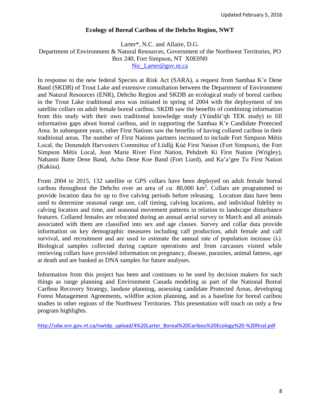#### **Ecology of Boreal Caribou of the Dehcho Region, NWT**

Larter\*, N.C. and Allaire, D.G. Department of Environment & Natural Resources, Government of the Northwest Territories, PO Box 240, Fort Simpson, NT X0E0N0 [Nic\\_Larter@gov.nt.ca](mailto:Nic_Larter@gov.nt.ca)

In response to the new federal Species at Risk Act (SARA), a request from Sambaa K'e Dene Band (SKDB) of Trout Lake and extensive consultation between the Department of Environment and Natural Resources (ENR), Dehcho Region and SKDB an ecological study of boreal caribou in the Trout Lake traditional area was initiated in spring of 2004 with the deployment of ten satellite collars on adult female boreal caribou. SKDB saw the benefits of combining information from this study with their own traditional knowledge study (Yúndíit'qh TEK study) to fill information gaps about boreal caribou, and in supporting the Sambaa K'e Candidate Protected Area. In subsequent years, other First Nations saw the benefits of having collared caribou in their traditional areas. The number of First Nations partners increased to include Fort Simpson Métis Local, the Denendeh Harvesters Committee of Łíídlįį Kúé First Nation (Fort Simpson), the Fort Simpson Métis Local, Jean Marie River First Nation, Pehdzeh Ki First Nation (Wrigley), Nahanni Butte Dene Band, Acho Dene Koe Band (Fort Liard), and Ka'a'gee Tu First Nation (Kakisa).

From 2004 to 2015, 132 satellite or GPS collars have been deployed on adult female boreal caribou throughout the Dehcho over an area of  $ca$ . 80,000  $km^2$ . Collars are programmed to provide location data for up to five calving periods before releasing. Location data have been used to determine seasonal range use, calf timing, calving locations, and individual fidelity to calving location and time, and seasonal movement patterns in relation to landscape disturbance features. Collared females are relocated during an annual aerial survey in March and all animals associated with them are classified into sex and age classes. Survey and collar data provide information on key demographic measures including calf production, adult female and calf survival, and recruitment and are used to estimate the annual rate of population increase  $(\lambda)$ . Biological samples collected during capture operations and from carcasses visited while retrieving collars have provided information on pregnancy, disease, parasites, animal fatness, age at death and are banked as DNA samples for future analyses.

Information from this project has been and continues to be used by decision makers for such things as range planning and Environment Canada modeling as part of the National Boreal Caribou Recovery Strategy, landuse planning, assessing candidate Protected Areas, developing Forest Management Agreements, wildfire action planning, and as a baseline for boreal caribou studies in other regions of the Northwest Territories. This presentation will touch on only a few program highlights.

[http://sdw.enr.gov.nt.ca/nwtdp\\_upload/4%20Larter\\_Boreal%20Caribou%20Ecology%20-%20final.pdf](http://sdw.enr.gov.nt.ca/nwtdp_upload/4%20Larter_Boreal%20Caribou%20Ecology%20-%20final.pdf)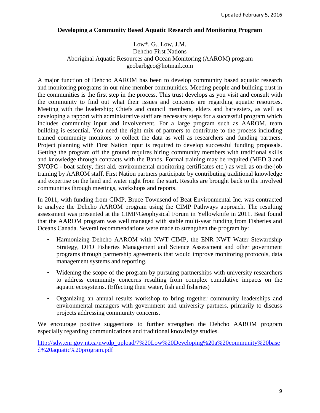#### **Developing a Community Based Aquatic Research and Monitoring Program**

#### Low\*, G., Low, J.M. Dehcho First Nations Aboriginal Aquatic Resources and Ocean Monitoring (AAROM) program [geobarbgeo@hotmail.com](mailto:geobarbgeo@hotmail.com)

A major function of Dehcho AAROM has been to develop community based aquatic research and monitoring programs in our nine member communities. Meeting people and building trust in the communities is the first step in the process. This trust develops as you visit and consult with the community to find out what their issues and concerns are regarding aquatic resources. Meeting with the leadership; Chiefs and council members, elders and harvesters, as well as developing a rapport with administrative staff are necessary steps for a successful program which includes community input and involvement. For a large program such as AAROM, team building is essential. You need the right mix of partners to contribute to the process including trained community monitors to collect the data as well as researchers and funding partners. Project planning with First Nation input is required to develop successful funding proposals. Getting the program off the ground requires hiring community members with traditional skills and knowledge through contracts with the Bands. Formal training may be required (MED 3 and SVOPC - boat safety, first aid, environmental monitoring certificates etc.) as well as on-the-job training by AAROM staff. First Nation partners participate by contributing traditional knowledge and expertise on the land and water right from the start. Results are brought back to the involved communities through meetings, workshops and reports.

In 2011, with funding from CIMP, Bruce Townsend of Beat Environmental Inc. was contracted to analyze the Dehcho AAROM program using the CIMP Pathways approach. The resulting assessment was presented at the CIMP/Geophysical Forum in Yellowknife in 2011. Beat found that the AAROM program was well managed with stable multi-year funding from Fisheries and Oceans Canada. Several recommendations were made to strengthen the program by:

- Harmonizing Dehcho AAROM with NWT CIMP, the ENR NWT Water Stewardship Strategy, DFO Fisheries Management and Science Assessment and other government programs through partnership agreements that would improve monitoring protocols, data management systems and reporting.
- Widening the scope of the program by pursuing partnerships with university researchers to address community concerns resulting from complex cumulative impacts on the aquatic ecosystems. (Effecting their water, fish and fisheries)
- Organizing an annual results workshop to bring together community leaderships and environmental managers with government and university partners, primarily to discuss projects addressing community concerns.

We encourage positive suggestions to further strengthen the Dehcho AAROM program especially regarding communications and traditional knowledge studies.

[http://sdw.enr.gov.nt.ca/nwtdp\\_upload/7%20Low%20Developing%20a%20community%20base](http://sdw.enr.gov.nt.ca/nwtdp_upload/7%20Low%20Developing%20a%20community%20based%20aquatic%20program.pdf) [d%20aquatic%20program.pdf](http://sdw.enr.gov.nt.ca/nwtdp_upload/7%20Low%20Developing%20a%20community%20based%20aquatic%20program.pdf)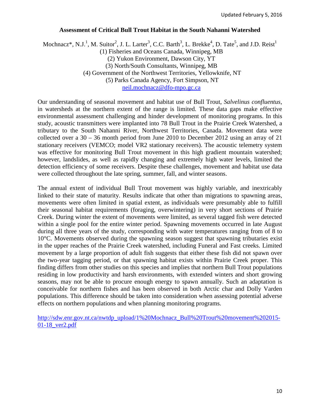#### **Assessment of Critical Bull Trout Habitat in the South Nahanni Watershed**

Mochnacz\*, N.J.<sup>1</sup>, M. Suitor<sup>2</sup>, J. L. Larter<sup>3</sup>, C.C. Barth<sup>3</sup>, L. Brekke<sup>4</sup>, D. Tate<sup>5</sup>, and J.D. Reist<sup>1</sup> (1) Fisheries and Oceans Canada, Winnipeg, MB (2) Yukon Environment, Dawson City, YT (3) North/South Consultants, Winnipeg, MB (4) Government of the Northwest Territories, Yellowknife, NT (5) Parks Canada Agency, Fort Simpson, NT [neil.mochnacz@dfo-mpo.gc.ca](mailto:neil.mochnacz@dfo-mpo.gc.ca)

Our understanding of seasonal movement and habitat use of Bull Trout, *Salvelinus confluentus,* in watersheds at the northern extent of the range is limited. These data gaps make effective environmental assessment challenging and hinder development of monitoring programs. In this study, acoustic transmitters were implanted into 78 Bull Trout in the Prairie Creek Watershed, a tributary to the South Nahanni River, Northwest Territories, Canada. Movement data were collected over a 30 – 36 month period from June 2010 to December 2012 using an array of 21 stationary receivers (VEMCO; model VR2 stationary receivers). The acoustic telemetry system was effective for monitoring Bull Trout movement in this high gradient mountain watershed; however, landslides, as well as rapidly changing and extremely high water levels, limited the detection efficiency of some receivers. Despite these challenges, movement and habitat use data were collected throughout the late spring, summer, fall, and winter seasons.

The annual extent of individual Bull Trout movement was highly variable, and inextricably linked to their state of maturity. Results indicate that other than migrations to spawning areas, movements were often limited in spatial extent, as individuals were presumably able to fulfill their seasonal habitat requirements (foraging, overwintering) in very short sections of Prairie Creek. During winter the extent of movements were limited, as several tagged fish were detected within a single pool for the entire winter period. Spawning movements occurred in late August during all three years of the study, corresponding with water temperatures ranging from of 8 to 10°C. Movements observed during the spawning season suggest that spawning tributaries exist in the upper reaches of the Prairie Creek watershed, including Funeral and Fast creeks. Limited movement by a large proportion of adult fish suggests that either these fish did not spawn over the two-year tagging period, or that spawning habitat exists within Prairie Creek proper. This finding differs from other studies on this species and implies that northern Bull Trout populations residing in low productivity and harsh environments, with extended winters and short growing seasons, may not be able to procure enough energy to spawn annually. Such an adaptation is conceivable for northern fishes and has been observed in both Arctic char and Dolly Varden populations. This difference should be taken into consideration when assessing potential adverse effects on northern populations and when planning monitoring programs.

[http://sdw.enr.gov.nt.ca/nwtdp\\_upload/1%20Mochnacz\\_Bull%20Trout%20movement%202015-](http://sdw.enr.gov.nt.ca/nwtdp_upload/1%20Mochnacz_Bull%20Trout%20movement%202015-01-18_ver2.pdf) [01-18\\_ver2.pdf](http://sdw.enr.gov.nt.ca/nwtdp_upload/1%20Mochnacz_Bull%20Trout%20movement%202015-01-18_ver2.pdf)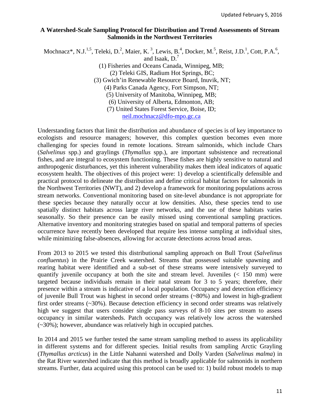#### **A Watershed-Scale Sampling Protocol for Distribution and Trend Assessments of Stream Salmonids in the Northwest Territories**

Mochnacz\*, N.J.<sup>1,5</sup>, Teleki, D.<sup>2</sup>, Maier, K.<sup>3</sup>, Lewis, B.<sup>4</sup>, Docker, M.<sup>5</sup>, Reist, J.D.<sup>1</sup>, Cott, P.A.<sup>6</sup>, and Isaak, D.7

> (1) Fisheries and Oceans Canada, Winnipeg, MB; (2) Teleki GIS, Radium Hot Springs, BC; (3) Gwich'in Renewable Resource Board, Inuvik, NT; (4) Parks Canada Agency, Fort Simpson, NT; (5) University of Manitoba, Winnipeg, MB; (6) University of Alberta, Edmonton, AB; (7) United States Forest Service, Boise, ID; [neil.mochnacz@dfo-mpo.gc.ca](mailto:neil.mochnacz@dfo-mpo.gc.ca)

Understanding factors that limit the distribution and abundance of species is of key importance to ecologists and resource managers; however, this complex question becomes even more challenging for species found in remote locations. Stream salmonids, which include Chars (*Salvelinus* spp.) and graylings (*Thymallus* spp.), are important subsistence and recreational fishes, and are integral to ecosystem functioning. These fishes are highly sensitive to natural and anthropogenic disturbances, yet this inherent vulnerability makes them ideal indicators of aquatic ecosystem health. The objectives of this project were: 1) develop a scientifically defensible and practical protocol to delineate the distribution and define critical habitat factors for salmonids in the Northwest Territories (NWT), and 2) develop a framework for monitoring populations across stream networks. Conventional monitoring based on site-level abundance is not appropriate for these species because they naturally occur at low densities. Also, these species tend to use spatially distinct habitats across large river networks, and the use of these habitats varies seasonally. So their presence can be easily missed using conventional sampling practices. Alternative inventory and monitoring strategies based on spatial and temporal patterns of species occurrence have recently been developed that require less intense sampling at individual sites, while minimizing false-absences, allowing for accurate detections across broad areas.

From 2013 to 2015 we tested this distributional sampling approach on Bull Trout (*Salvelinus confluentus*) in the Prairie Creek watershed. Streams that possessed suitable spawning and rearing habitat were identified and a sub-set of these streams were intensively surveyed to quantify juvenile occupancy at both the site and stream level. Juveniles (< 150 mm) were targeted because individuals remain in their natal stream for 3 to 5 years; therefore, their presence within a stream is indicative of a local population. Occupancy and detection efficiency of juvenile Bull Trout was highest in second order streams (~80%) and lowest in high-gradient first order streams  $(\sim 30\%)$ . Because detection efficiency in second order streams was relatively high we suggest that users consider single pass surveys of 8-10 sites per stream to assess occupancy in similar watersheds. Patch occupancy was relatively low across the watershed (~30%); however, abundance was relatively high in occupied patches.

In 2014 and 2015 we further tested the same stream sampling method to assess its applicability in different systems and for different species. Initial results from sampling Arctic Grayling (*Thymallus arcticus*) in the Little Nahanni watershed and Dolly Varden (*Salvelinus malma*) in the Rat River watershed indicate that this method is broadly applicable for salmonids in northern streams. Further, data acquired using this protocol can be used to: 1) build robust models to map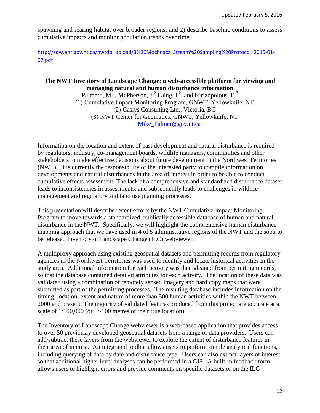spawning and rearing habitat over broader regions, and 2) describe baseline conditions to assess cumulative impacts and monitor population trends over time.

[http://sdw.enr.gov.nt.ca/nwtdp\\_upload/3%20Mochnacz\\_Stream%20Sampling%20Protocol\\_2015-01-](http://sdw.enr.gov.nt.ca/nwtdp_upload/3%20Mochnacz_Stream%20Sampling%20Protocol_2015-01-07.pdf) [07.pdf](http://sdw.enr.gov.nt.ca/nwtdp_upload/3%20Mochnacz_Stream%20Sampling%20Protocol_2015-01-07.pdf)

#### **The NWT Inventory of Landscape Change: a web-accessible platform for viewing and managing natural and human disturbance information**

Palmer\*,  $M<sup>1</sup>$ , McPherson, J.<sup>2</sup> Laing, I.<sup>2</sup>, and Kirizopolous, E.<sup>3</sup> (1) Cumulative Impact Monitoring Program, GNWT, Yellowknife, NT (2) Caslys Consulting Ltd., Victoria, BC (3) NWT Center for Geomatics, GNWT, Yellowknife, NT [Mike\\_Palmer@gov.nt.ca](mailto:Mike_Palmer@gov.nt.ca)

Information on the location and extent of past development and natural disturbance is required by regulators, industry, co-management boards, wildlife managers, communities and other stakeholders to make effective decisions about future development in the Northwest Territories (NWT). It is currently the responsibility of the interested party to compile information on developments and natural disturbances in the area of interest in order to be able to conduct cumulative effects assessment. The lack of a comprehensive and standardized disturbance dataset leads to inconsistencies in assessments, and subsequently leads to challenges in wildlife management and regulatory and land use planning processes.

This presentation will describe recent efforts by the NWT Cumulative Impact Monitoring Program to move towards a standardized, publically accessible database of human and natural disturbance in the NWT. Specifically, we will highlight the comprehensive human disturbance mapping approach that we have used in 4 of 5 administrative regions of the NWT and the soon to be released Inventory of Landscape Change (ILC) webviewer.

A multiproxy approach using existing geospatial datasets and permitting records from regulatory agencies in the Northwest Territories was used to identify and locate historical activities in the study area. Additional information for each activity was then gleaned from permitting records, so that the database contained detailed attributes for each activity. The location of these data was validated using a combination of remotely sensed imagery and hard copy maps that were submitted as part of the permitting processes. The resulting database includes information on the timing, location, extent and nature of more than 500 human activities within the NWT between 2000 and present. The majority of validated features produced from this project are accurate at a scale of 1:100,000 (or +/-100 metres of their true location).

The Inventory of Landscape Change webviewer is a web-based application that provides access to over 50 previously developed geospatial datasets from a range of data providers. Users can add/subtract these layers from the webviewer to explore the extent of disturbance features in their area of interest. An integrated toolbar allows users to perform simple analytical functions, including querying of data by date and disturbance type. Users can also extract layers of interest so that additional higher level analyses can be performed in a GIS. A built-in feedback form allows users to highlight errors and provide comments on specific datasets or on the ILC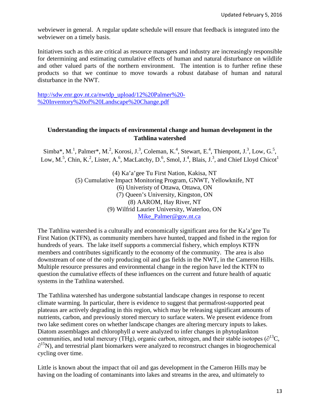webviewer in general. A regular update schedule will ensure that feedback is integrated into the webviewer on a timely basis.

Initiatives such as this are critical as resource managers and industry are increasingly responsible for determining and estimating cumulative effects of human and natural disturbance on wildlife and other valued parts of the northern environment. The intention is to further refine these products so that we continue to move towards a robust database of human and natural disturbance in the NWT.

[http://sdw.enr.gov.nt.ca/nwtdp\\_upload/12%20Palmer%20-](http://sdw.enr.gov.nt.ca/nwtdp_upload/12%20Palmer%20-%20Inventory%20of%20Landscape%20Change.pdf) [%20Inventory%20of%20Landscape%20Change.pdf](http://sdw.enr.gov.nt.ca/nwtdp_upload/12%20Palmer%20-%20Inventory%20of%20Landscape%20Change.pdf)

#### **Understanding the impacts of environmental change and human development in the Tathlina watershed**

Simba\*, M.<sup>1</sup>, Palmer\*, M.<sup>2</sup>, Korosi, J.<sup>3</sup>, Coleman, K.<sup>4</sup>, Stewart, E.<sup>4</sup>, Thienpont, J.<sup>3</sup>, Low, G.<sup>5</sup>, Low, M.<sup>5</sup>, Chin, K.<sup>2</sup>, Lister, A.<sup>6</sup>, MacLatchy, D.<sup>6</sup>, Smol, J.<sup>4</sup>, Blais, J.<sup>3</sup>, and Chief Lloyd Chicot<sup>1</sup>

> (4) Ka'a'gee Tu First Nation, Kakisa, NT (5) Cumulative Impact Monitoring Program, GNWT, Yellowknife, NT (6) Univeristy of Ottawa, Ottawa, ON (7) Queen's University, Kingston, ON (8) AAROM, Hay River, NT (9) Wilfrid Laurier University, Waterloo, ON [Mike\\_Palmer@gov.nt.ca](mailto:Mike_Palmer@gov.nt.ca)

The Tathlina watershed is a culturally and economically significant area for the Ka'a'gee Tu First Nation (KTFN), as community members have hunted, trapped and fished in the region for hundreds of years. The lake itself supports a commercial fishery, which employs KTFN members and contributes significantly to the economy of the community. The area is also downstream of one of the only producing oil and gas fields in the NWT, in the Cameron Hills. Multiple resource pressures and environmental change in the region have led the KTFN to question the cumulative effects of these influences on the current and future health of aquatic systems in the Tathlina watershed.

The Tathlina watershed has undergone substantial landscape changes in response to recent climate warming. In particular, there is evidence to suggest that permafrost-supported peat plateaus are actively degrading in this region, which may be releasing significant amounts of nutrients, carbon, and previously stored mercury to surface waters. We present evidence from two lake sediment cores on whether landscape changes are altering mercury inputs to lakes. Diatom assemblages and chlorophyll *a* were analyzed to infer changes in phytoplankton communities, and total mercury (THg), organic carbon, nitrogen, and their stable isotopes ( $\partial^{13}C$ ,  $\partial^{15}$ N), and terrestrial plant biomarkers were analyzed to reconstruct changes in biogeochemical cycling over time.

Little is known about the impact that oil and gas development in the Cameron Hills may be having on the loading of contaminants into lakes and streams in the area, and ultimately to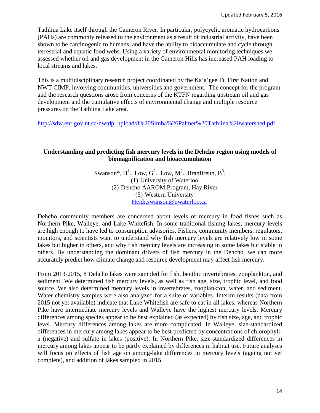Tathlina Lake itself through the Cameron River. In particular, polycyclic aromatic hydrocarbons (PAHs) are commonly released to the environment as a result of industrial activity, have been shown to be carcinogenic to humans, and have the ability to bioaccumulate and cycle through terrestrial and aquatic food webs. Using a variety of environmental monitoring techniques we assessed whether oil and gas development in the Cameron Hills has increased PAH loading to local streams and lakes.

This is a multidisciplinary research project coordinated by the Ka'a'gee Tu First Nation and NWT CIMP, involving communities, universities and government. The concept for the program and the research questions arose from concerns of the KTFN regarding upstream oil and gas development and the cumulative effects of environmental change and multiple resource pressures on the Tathlina Lake area.

[http://sdw.enr.gov.nt.ca/nwtdp\\_upload/8%20Simba%26Palmer%20Tathlina%20watershed.pdf](http://sdw.enr.gov.nt.ca/nwtdp_upload/8%20Simba%26Palmer%20Tathlina%20watershed.pdf)

#### **Understanding and predicting fish mercury levels in the Dehcho region using models of biomagnification and bioaccumulation**

Swanson\*,  $H^1$ ., Low,  $G^2$ ., Low, M<sup>2</sup>., Branfireun, B<sup>3</sup>. (1) University of Waterloo (2) Dehcho AAROM Program, Hay River (3) Western University [Heidi.swanson@uwaterloo.ca](mailto:Heidi.swanson@uwaterloo.ca)

Dehcho community members are concerned about levels of mercury in food fishes such as Northern Pike, Walleye, and Lake Whitefish. In some traditional fishing lakes, mercury levels are high enough to have led to consumption advisories. Fishers, community members, regulators, monitors, and scientists want to understand why fish mercury levels are relatively low in some lakes but higher in others, and why fish mercury levels are increasing in some lakes but stable in others. By understanding the dominant drivers of fish mercury in the Dehcho, we can more accurately predict how climate change and resource development may affect fish mercury.

From 2013-2015, 8 Dehcho lakes were sampled for fish, benthic invertebrates, zooplankton, and sediment. We determined fish mercury levels, as well as fish age, size, trophic level, and food source. We also determined mercury levels in invertebrates, zooplankton, water, and sediment. Water chemistry samples were also analyzed for a suite of variables. Interim results (data from 2015 not yet available) indicate that Lake Whitefish are safe to eat in all lakes, whereas Northern Pike have intermediate mercury levels and Walleye have the highest mercury levels. Mercury differences among species appear to be best explained (as expected) by fish size, age, and trophic level. Mercury differences among lakes are more complicated. In Walleye, size-standardized differences in mercury among lakes appear to be best predicted by concentrations of chlorophylla (negative) and sulfate in lakes (positive). In Northern Pike, size-standardized differences in mercury among lakes appear to be partly explained by differences in habitat use. Future analyses will focus on effects of fish age on among-lake differences in mercury levels (ageing not yet complete), and addition of lakes sampled in 2015.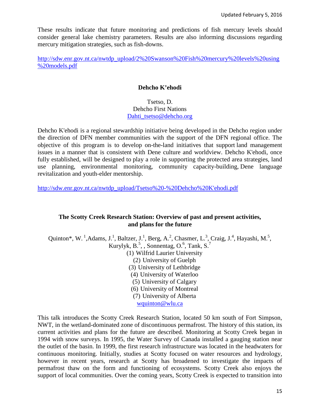These results indicate that future monitoring and predictions of fish mercury levels should consider general lake chemistry parameters. Results are also informing discussions regarding mercury mitigation strategies, such as fish-downs.

[http://sdw.enr.gov.nt.ca/nwtdp\\_upload/2%20Swanson%20Fish%20mercury%20levels%20using](http://sdw.enr.gov.nt.ca/nwtdp_upload/2%20Swanson%20Fish%20mercury%20levels%20using%20models.pdf) [%20models.pdf](http://sdw.enr.gov.nt.ca/nwtdp_upload/2%20Swanson%20Fish%20mercury%20levels%20using%20models.pdf)

#### **Dehcho K'ehodi**

Tsetso, D. Dehcho First Nations [Dahti\\_tsetso@dehcho.org](mailto:Dahti_tsetso@dehcho.org)

Dehcho K'ehodi is a regional stewardship initiative being developed in the Dehcho region under the direction of DFN member communities with the support of the DFN regional office. The objective of this program is to develop on-the-land initiatives that support land management issues in a manner that is consistent with Dene culture and worldview. Dehcho K'ehodi, once fully established, will be designed to play a role in supporting the protected area strategies, land use planning, environmental monitoring, community capacity-building, Dene language revitalization and youth-elder mentorship.

[http://sdw.enr.gov.nt.ca/nwtdp\\_upload/Tsetso%20-%20Dehcho%20K'ehodi.pdf](http://sdw.enr.gov.nt.ca/nwtdp_upload/Tsetso%20-%20Dehcho%20K)

#### **The Scotty Creek Research Station: Overview of past and present activities, and plans for the future**

Quinton\*, W.<sup>1</sup>,Adams, J.<sup>1</sup>, Baltzer, J.<sup>1</sup>, Berg, A.<sup>2</sup>, Chasmer, L.<sup>3</sup>, Craig, J.<sup>4</sup>, Hayashi, M.<sup>5</sup>, Kurylyk,  $B^5$ , , Sonnentag, O.<sup>6</sup>, Tank, S.<sup>7</sup> (1) Wilfrid Laurier University (2) University of Guelph (3) University of Lethbridge (4) University of Waterloo (5) University of Calgary (6) University of Montreal (7) University of Alberta [wquinton@wlu.ca](mailto:wquinton@wlu.ca)

This talk introduces the Scotty Creek Research Station, located 50 km south of Fort Simpson, NWT, in the wetland-dominated zone of discontinuous permafrost. The history of this station, its current activities and plans for the future are described. Monitoring at Scotty Creek began in 1994 with snow surveys. In 1995, the Water Survey of Canada installed a gauging station near the outlet of the basin. In 1999, the first research infrastructure was located in the headwaters for continuous monitoring. Initially, studies at Scotty focused on water resources and hydrology, however in recent years, research at Scotty has broadened to investigate the impacts of permafrost thaw on the form and functioning of ecosystems. Scotty Creek also enjoys the support of local communities. Over the coming years, Scotty Creek is expected to transition into